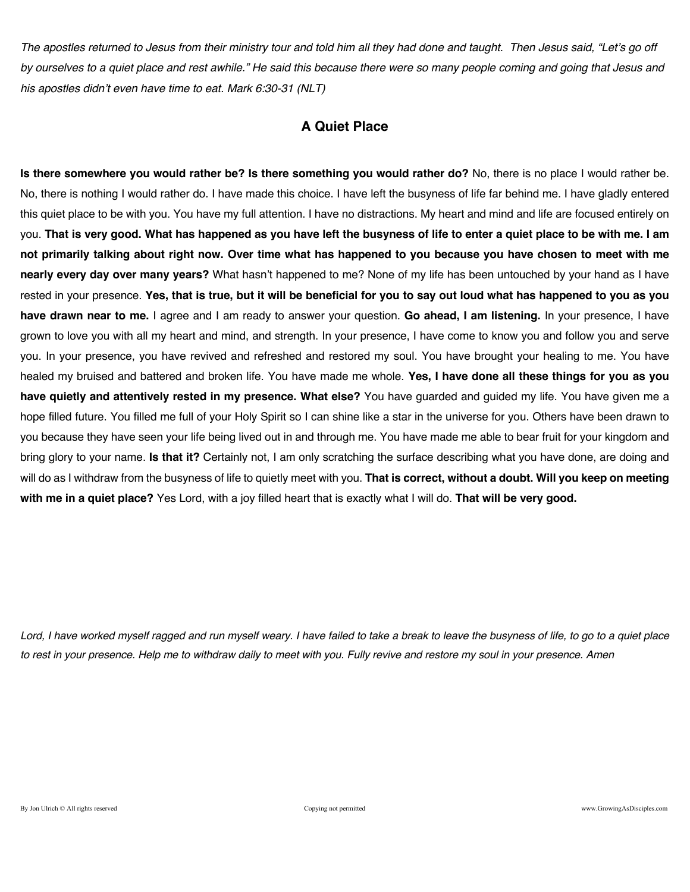*The apostles returned to Jesus from their ministry tour and told him all they had done and taught. Then Jesus said, "Let's go off by ourselves to a quiet place and rest awhile." He said this because there were so many people coming and going that Jesus and his apostles didn't even have time to eat. Mark 6:30-31 (NLT)* 

### **A Quiet Place**

**Is there somewhere you would rather be? Is there something you would rather do?** No, there is no place I would rather be. No, there is nothing I would rather do. I have made this choice. I have left the busyness of life far behind me. I have gladly entered this quiet place to be with you. You have my full attention. I have no distractions. My heart and mind and life are focused entirely on you. **That is very good. What has happened as you have left the busyness of life to enter a quiet place to be with me. I am not primarily talking about right now. Over time what has happened to you because you have chosen to meet with me nearly every day over many years?** What hasn't happened to me? None of my life has been untouched by your hand as I have rested in your presence. **Yes, that is true, but it will be beneficial for you to say out loud what has happened to you as you have drawn near to me.** I agree and I am ready to answer your question. **Go ahead, I am listening.** In your presence, I have grown to love you with all my heart and mind, and strength. In your presence, I have come to know you and follow you and serve you. In your presence, you have revived and refreshed and restored my soul. You have brought your healing to me. You have healed my bruised and battered and broken life. You have made me whole. **Yes, I have done all these things for you as you have quietly and attentively rested in my presence. What else?** You have guarded and guided my life. You have given me a hope filled future. You filled me full of your Holy Spirit so I can shine like a star in the universe for you. Others have been drawn to you because they have seen your life being lived out in and through me. You have made me able to bear fruit for your kingdom and bring glory to your name. **Is that it?** Certainly not, I am only scratching the surface describing what you have done, are doing and will do as I withdraw from the busyness of life to quietly meet with you. **That is correct, without a doubt. Will you keep on meeting with me in a quiet place?** Yes Lord, with a joy filled heart that is exactly what I will do. **That will be very good.**

*Lord, I have worked myself ragged and run myself weary. I have failed to take a break to leave the busyness of life, to go to a quiet place to rest in your presence. Help me to withdraw daily to meet with you. Fully revive and restore my soul in your presence. Amen*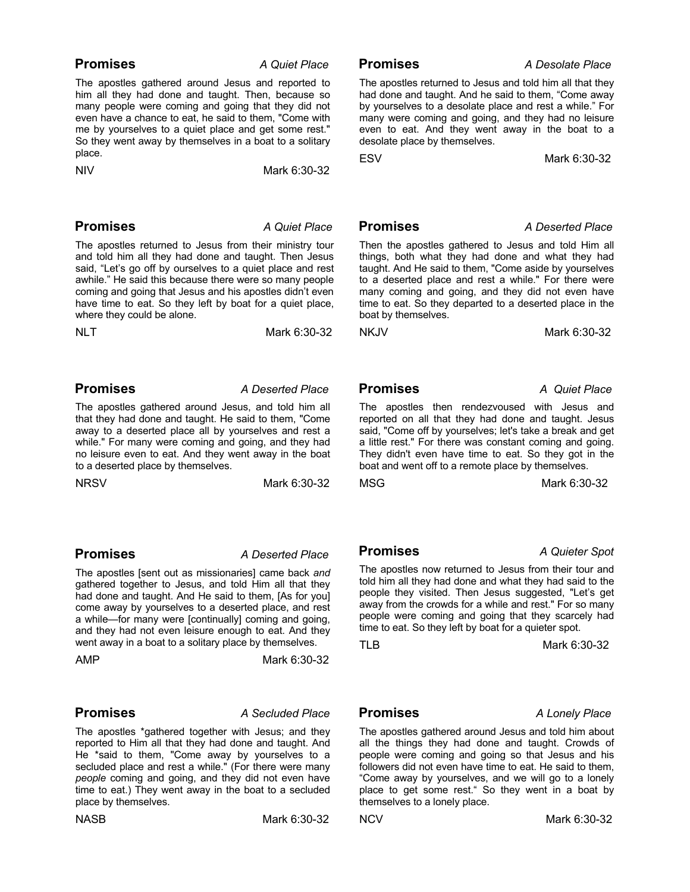### **Promises** *A Quiet Place*

The apostles gathered around Jesus and reported to him all they had done and taught. Then, because so many people were coming and going that they did not even have a chance to eat, he said to them, "Come with me by yourselves to a quiet place and get some rest." So they went away by themselves in a boat to a solitary place.

NIV Mark 6:30-32

### **Promises** *A Quiet Place*

The apostles returned to Jesus from their ministry tour and told him all they had done and taught. Then Jesus said. "Let's go off by ourselves to a quiet place and rest awhile." He said this because there were so many people coming and going that Jesus and his apostles didn't even have time to eat. So they left by boat for a quiet place, where they could be alone.

NLT Mark 6:30-32

### **Promises** *A Deserted Place*

The apostles gathered around Jesus, and told him all that they had done and taught. He said to them, "Come away to a deserted place all by yourselves and rest a while." For many were coming and going, and they had no leisure even to eat. And they went away in the boat to a deserted place by themselves.

NRSVMark 6:30-32

### **Promises** *A Deserted Place*

The apostles [sent out as missionaries] came back *and* gathered together to Jesus, and told Him all that they had done and taught. And He said to them, [As for you] come away by yourselves to a deserted place, and rest a while—for many were [continually] coming and going, and they had not even leisure enough to eat. And they went away in a boat to a solitary place by themselves.

AMP **Mark 6:30-32** 

### **Promises** *A Secluded Place*

The apostles \*gathered together with Jesus; and they reported to Him all that they had done and taught. And He \*said to them, "Come away by yourselves to a secluded place and rest a while." (For there were many *people* coming and going, and they did not even have time to eat.) They went away in the boat to a secluded place by themselves.

NASBMark 6:30-32

 **Promises** *A Desolate Place*

The apostles returned to Jesus and told him all that they had done and taught. And he said to them, "Come away by yourselves to a desolate place and rest a while." For many were coming and going, and they had no leisure even to eat. And they went away in the boat to a desolate place by themselves.

ESVMark 6:30-32

### **Promises** *A Deserted Place*

Then the apostles gathered to Jesus and told Him all things, both what they had done and what they had taught. And He said to them, "Come aside by yourselves to a deserted place and rest a while." For there were many coming and going, and they did not even have time to eat. So they departed to a deserted place in the boat by themselves.

NKJVMark 6:30-32

 **Promises** *A Quiet Place*

The apostles then rendezvoused with Jesus and reported on all that they had done and taught. Jesus said, "Come off by yourselves; let's take a break and get a little rest." For there was constant coming and going. They didn't even have time to eat. So they got in the boat and went off to a remote place by themselves.

MSGMark 6:30-32

 **Promises** *A Quieter Spot*

The apostles now returned to Jesus from their tour and told him all they had done and what they had said to the people they visited. Then Jesus suggested, "Let's get away from the crowds for a while and rest." For so many people were coming and going that they scarcely had

time to eat. So they left by boat for a quieter spot.

TLBMark 6:30-32

### **Promises** *A Lonely Place*

The apostles gathered around Jesus and told him about all the things they had done and taught. Crowds of people were coming and going so that Jesus and his followers did not even have time to eat. He said to them, "Come away by yourselves, and we will go to a lonely place to get some rest." So they went in a boat by themselves to a lonely place.

NCVMark 6:30-32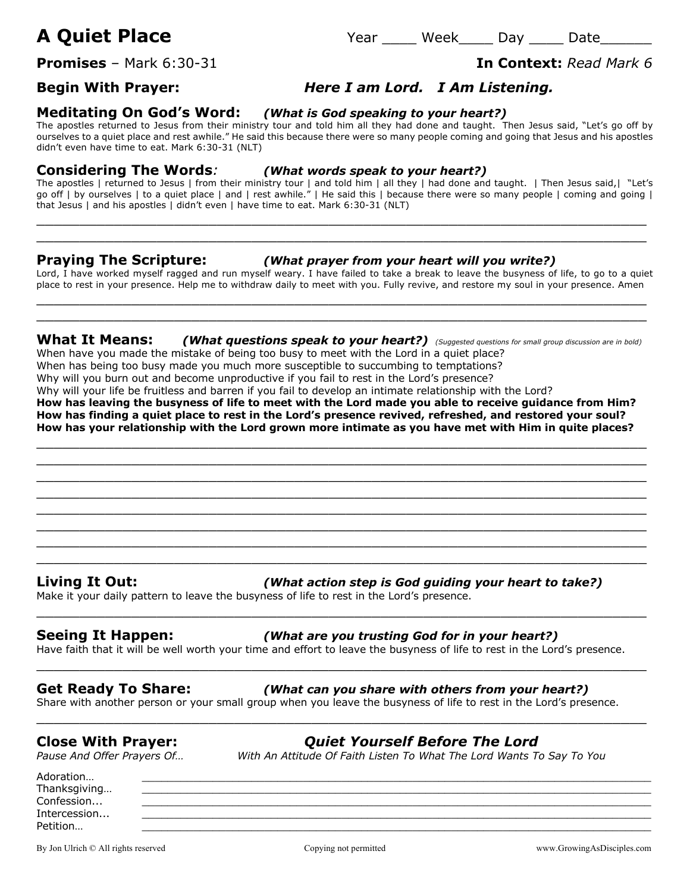# **A Quiet Place** Year \_\_\_\_ Week\_\_\_\_ Day \_\_\_\_ Date\_\_\_\_\_\_

**Promises** – Mark 6:30-31 **In Context:** *Read Mark 6*

## **Begin With Prayer:** *Here I am Lord. I Am Listening.*

### **Meditating On God's Word:** *(What is God speaking to your heart?)*

The apostles returned to Jesus from their ministry tour and told him all they had done and taught. Then Jesus said, "Let's go off by ourselves to a quiet place and rest awhile." He said this because there were so many people coming and going that Jesus and his apostles didn't even have time to eat. Mark 6:30-31 (NLT)

### **Considering The Words***: (What words speak to your heart?)*

The apostles | returned to Jesus | from their ministry tour | and told him | all they | had done and taught. | Then Jesus said,| "Let's go off | by ourselves | to a quiet place | and | rest awhile." | He said this | because there were so many people | coming and going | that Jesus | and his apostles | didn't even | have time to eat. Mark 6:30-31 (NLT)

 $\_$  , and the set of the set of the set of the set of the set of the set of the set of the set of the set of the set of the set of the set of the set of the set of the set of the set of the set of the set of the set of th  $\_$  , and the set of the set of the set of the set of the set of the set of the set of the set of the set of the set of the set of the set of the set of the set of the set of the set of the set of the set of the set of th

### **Praying The Scripture:** *(What prayer from your heart will you write?)*

Lord, I have worked myself ragged and run myself weary. I have failed to take a break to leave the busyness of life, to go to a quiet place to rest in your presence. Help me to withdraw daily to meet with you. Fully revive, and restore my soul in your presence. Amen  $\_$  , and the set of the set of the set of the set of the set of the set of the set of the set of the set of the set of the set of the set of the set of the set of the set of the set of the set of the set of the set of th

**What It Means:** *(What questions speak to your heart?) (Suggested questions for small group discussion are in bold)* When have you made the mistake of being too busy to meet with the Lord in a quiet place?

 $\_$  , and the set of the set of the set of the set of the set of the set of the set of the set of the set of the set of the set of the set of the set of the set of the set of the set of the set of the set of the set of th

When has being too busy made you much more susceptible to succumbing to temptations?

Why will you burn out and become unproductive if you fail to rest in the Lord's presence?

Why will your life be fruitless and barren if you fail to develop an intimate relationship with the Lord?

**How has leaving the busyness of life to meet with the Lord made you able to receive guidance from Him? How has finding a quiet place to rest in the Lord's presence revived, refreshed, and restored your soul? How has your relationship with the Lord grown more intimate as you have met with Him in quite places?**

 $\_$  , and the set of the set of the set of the set of the set of the set of the set of the set of the set of the set of the set of the set of the set of the set of the set of the set of the set of the set of the set of th  $\_$  , and the set of the set of the set of the set of the set of the set of the set of the set of the set of the set of the set of the set of the set of the set of the set of the set of the set of the set of the set of th  $\_$  , and the set of the set of the set of the set of the set of the set of the set of the set of the set of the set of the set of the set of the set of the set of the set of the set of the set of the set of the set of th  $\_$  , and the set of the set of the set of the set of the set of the set of the set of the set of the set of the set of the set of the set of the set of the set of the set of the set of the set of the set of the set of th  $\_$  , and the set of the set of the set of the set of the set of the set of the set of the set of the set of the set of the set of the set of the set of the set of the set of the set of the set of the set of the set of th  $\_$  , and the set of the set of the set of the set of the set of the set of the set of the set of the set of the set of the set of the set of the set of the set of the set of the set of the set of the set of the set of th  $\_$  , and the set of the set of the set of the set of the set of the set of the set of the set of the set of the set of the set of the set of the set of the set of the set of the set of the set of the set of the set of th  $\_$  , and the set of the set of the set of the set of the set of the set of the set of the set of the set of the set of the set of the set of the set of the set of the set of the set of the set of the set of the set of th

**Living It Out:** *(What action step is God guiding your heart to take?)*

Make it your daily pattern to leave the busyness of life to rest in the Lord's presence.

**Seeing It Happen:** *(What are you trusting God for in your heart?)*

Have faith that it will be well worth your time and effort to leave the busyness of life to rest in the Lord's presence.

 $\_$  , and the set of the set of the set of the set of the set of the set of the set of the set of the set of the set of the set of the set of the set of the set of the set of the set of the set of the set of the set of th

 $\_$  , and the set of the set of the set of the set of the set of the set of the set of the set of the set of the set of the set of the set of the set of the set of the set of the set of the set of the set of the set of th

 $\_$  , and the set of the set of the set of the set of the set of the set of the set of the set of the set of the set of the set of the set of the set of the set of the set of the set of the set of the set of the set of th

**Get Ready To Share:** *(What can you share with others from your heart?)*

Share with another person or your small group when you leave the busyness of life to rest in the Lord's presence.

*Pause And Offer Prayers Of… With An Attitude Of Faith Listen To What The Lord Wants To Say To You*

**Close With Prayer:** *Quiet Yourself Before The Lord*

Adoration… \_\_\_\_\_\_\_\_\_\_\_\_\_\_\_\_\_\_\_\_\_\_\_\_\_\_\_\_\_\_\_\_\_\_\_\_\_\_\_\_\_\_\_\_\_\_\_\_\_\_\_\_\_\_\_\_\_\_\_\_\_\_\_\_\_\_\_\_\_\_\_\_\_\_\_\_\_\_\_ Thanksgiving... Confession... \_\_\_\_\_\_\_\_\_\_\_\_\_\_\_\_\_\_\_\_\_\_\_\_\_\_\_\_\_\_\_\_\_\_\_\_\_\_\_\_\_\_\_\_\_\_\_\_\_\_\_\_\_\_\_\_\_\_\_\_\_\_\_\_\_\_\_\_\_\_\_\_\_\_\_\_\_\_\_  ${\bf Intercession}\dots$   $\blacksquare$ 

Petition… \_\_\_\_\_\_\_\_\_\_\_\_\_\_\_\_\_\_\_\_\_\_\_\_\_\_\_\_\_\_\_\_\_\_\_\_\_\_\_\_\_\_\_\_\_\_\_\_\_\_\_\_\_\_\_\_\_\_\_\_\_\_\_\_\_\_\_\_\_\_\_\_\_\_\_\_\_\_\_

By Jon Ulrich © All rights reserved examples are compared copying not permitted www.GrowingAsDisciples.com